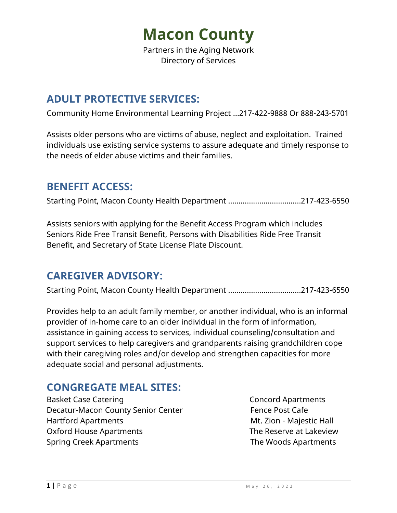Partners in the Aging Network Directory of Services

# **ADULT PROTECTIVE SERVICES:**

Community Home Environmental Learning Project …217-422-9888 Or 888-243-5701

Assists older persons who are victims of abuse, neglect and exploitation. Trained individuals use existing service systems to assure adequate and timely response to the needs of elder abuse victims and their families.

## **BENEFIT ACCESS:**

Starting Point, Macon County Health Department …………….………….……217-423-6550

Assists seniors with applying for the Benefit Access Program which includes Seniors Ride Free Transit Benefit, Persons with Disabilities Ride Free Transit Benefit, and Secretary of State License Plate Discount.

### **CAREGIVER ADVISORY:**

Starting Point, Macon County Health Department …………….………….……217-423-6550

Provides help to an adult family member, or another individual, who is an informal provider of in-home care to an older individual in the form of information, assistance in gaining access to services, individual counseling/consultation and support services to help caregivers and grandparents raising grandchildren cope with their caregiving roles and/or develop and strengthen capacities for more adequate social and personal adjustments.

# **CONGREGATE MEAL SITES:**

Basket Case Catering **Concord Apartments** Decatur-Macon County Senior Center Fence Post Cafe Hartford Apartments **Music Apartments** Music Hall Entertainments Music Majestic Hall Oxford House Apartments The Reserve at Lakeview Spring Creek Apartments The Woods Apartments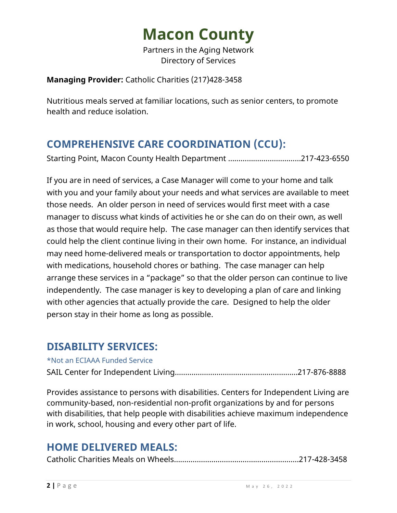Partners in the Aging Network Directory of Services

#### **Managing Provider:** Catholic Charities (217)428-3458

Nutritious meals served at familiar locations, such as senior centers, to promote health and reduce isolation.

# **COMPREHENSIVE CARE COORDINATION (CCU):**

Starting Point, Macon County Health Department …………….………….……217-423-6550

If you are in need of services, a Case Manager will come to your home and talk with you and your family about your needs and what services are available to meet those needs. An older person in need of services would first meet with a case manager to discuss what kinds of activities he or she can do on their own, as well as those that would require help. The case manager can then identify services that could help the client continue living in their own home. For instance, an individual may need home-delivered meals or transportation to doctor appointments, help with medications, household chores or bathing. The case manager can help arrange these services in a "package" so that the older person can continue to live independently. The case manager is key to developing a plan of care and linking with other agencies that actually provide the care. Designed to help the older person stay in their home as long as possible.

### **DISABILITY SERVICES:**

#### \*Not an ECIAAA Funded Service

SAIL Center for Independent Living………………………….….……………………217-876-8888

Provides assistance to persons with disabilities. Centers for Independent Living are community-based, non-residential non-profit organizations by and for persons with disabilities, that help people with disabilities achieve maximum independence in work, school, housing and every other part of life.

### **HOME DELIVERED MEALS:**

|--|--|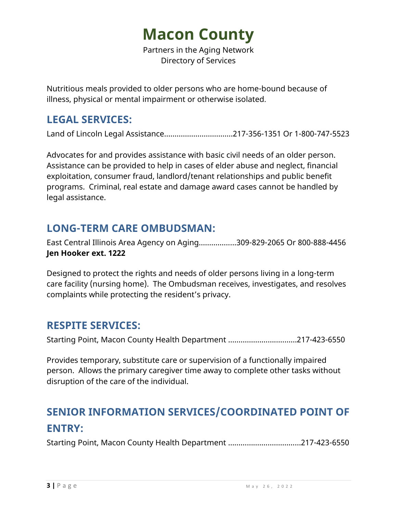Partners in the Aging Network Directory of Services

Nutritious meals provided to older persons who are home-bound because of illness, physical or mental impairment or otherwise isolated.

## **LEGAL SERVICES:**

Land of Lincoln Legal Assistance……………………………217-356-1351 Or 1-800-747-5523

Advocates for and provides assistance with basic civil needs of an older person. Assistance can be provided to help in cases of elder abuse and neglect, financial exploitation, consumer fraud, landlord/tenant relationships and public benefit programs. Criminal, real estate and damage award cases cannot be handled by legal assistance.

## **LONG-TERM CARE OMBUDSMAN:**

East Central Illinois Area Agency on Aging……………...309-829-2065 Or 800-888-4456 **Jen Hooker ext. 1222**

Designed to protect the rights and needs of older persons living in a long-term care facility (nursing home). The Ombudsman receives, investigates, and resolves complaints while protecting the resident's privacy.

### **RESPITE SERVICES:**

Starting Point, Macon County Health Department …………….…….….……217-423-6550

Provides temporary, substitute care or supervision of a functionally impaired person. Allows the primary caregiver time away to complete other tasks without disruption of the care of the individual.

# **SENIOR INFORMATION SERVICES/COORDINATED POINT OF ENTRY:**

Starting Point, Macon County Health Department …………….………….……217-423-6550